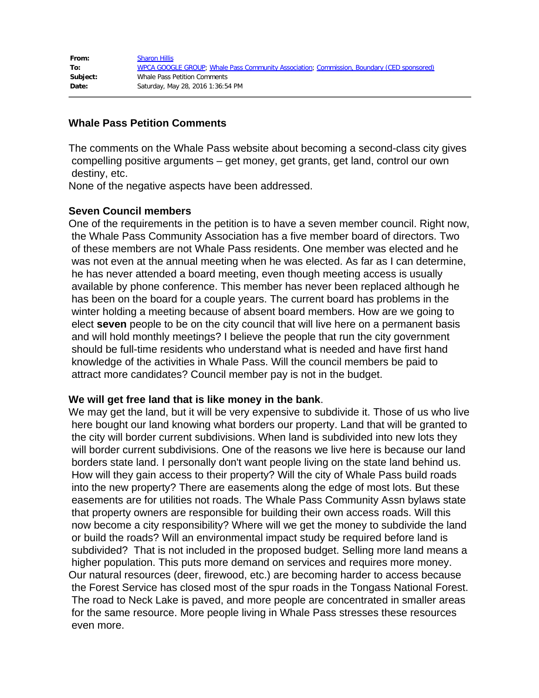| From:    | <b>Sharon Hillis</b>                                                                      |
|----------|-------------------------------------------------------------------------------------------|
| To:      | WPCA GOOGLE GROUP; Whale Pass Community Association; Commission, Boundary (CED sponsored) |
| Subject: | Whale Pass Petition Comments                                                              |
| Date:    | Saturday, May 28, 2016 1:36:54 PM                                                         |

## **Whale Pass Petition Comments**

The comments on the Whale Pass website about becoming a second-class city gives compelling positive arguments – get money, get grants, get land, control our own destiny, etc.

None of the negative aspects have been addressed.

### **Seven Council members**

One of the requirements in the petition is to have a seven member council. Right now, the Whale Pass Community Association has a five member board of directors. Two of these members are not Whale Pass residents. One member was elected and he was not even at the annual meeting when he was elected. As far as I can determine, he has never attended a board meeting, even though meeting access is usually available by phone conference. This member has never been replaced although he has been on the board for a couple years. The current board has problems in the winter holding a meeting because of absent board members. How are we going to elect **seven** people to be on the city council that will live here on a permanent basis and will hold monthly meetings? I believe the people that run the city government should be full-time residents who understand what is needed and have first hand knowledge of the activities in Whale Pass. Will the council members be paid to attract more candidates? Council member pay is not in the budget.

### **We will get free land that is like money in the bank**.

We may get the land, but it will be very expensive to subdivide it. Those of us who live here bought our land knowing what borders our property. Land that will be granted to the city will border current subdivisions. When land is subdivided into new lots they will border current subdivisions. One of the reasons we live here is because our land borders state land. I personally don't want people living on the state land behind us. How will they gain access to their property? Will the city of Whale Pass build roads into the new property? There are easements along the edge of most lots. But these easements are for utilities not roads. The Whale Pass Community Assn bylaws state that property owners are responsible for building their own access roads. Will this now become a city responsibility? Where will we get the money to subdivide the land or build the roads? Will an environmental impact study be required before land is subdivided? That is not included in the proposed budget. Selling more land means a higher population. This puts more demand on services and requires more money. Our natural resources (deer, firewood, etc.) are becoming harder to access because the Forest Service has closed most of the spur roads in the Tongass National Forest. The road to Neck Lake is paved, and more people are concentrated in smaller areas for the same resource. More people living in Whale Pass stresses these resources even more.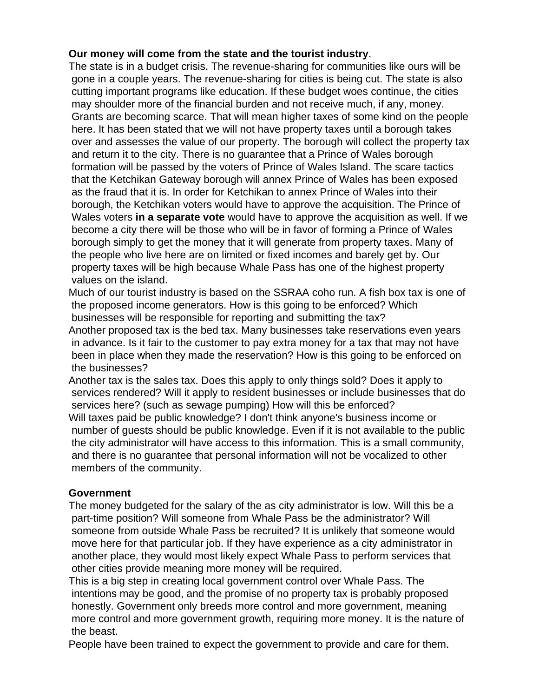# **Our money will come from the state and the tourist industry**.

The state is in a budget crisis. The revenue-sharing for communities like ours will be gone in a couple years. The revenue-sharing for cities is being cut. The state is also cutting important programs like education. If these budget woes continue, the cities may shoulder more of the financial burden and not receive much, if any, money. Grants are becoming scarce. That will mean higher taxes of some kind on the people here. It has been stated that we will not have property taxes until a borough takes over and assesses the value of our property. The borough will collect the property tax and return it to the city. There is no guarantee that a Prince of Wales borough formation will be passed by the voters of Prince of Wales Island. The scare tactics that the Ketchikan Gateway borough will annex Prince of Wales has been exposed as the fraud that it is. In order for Ketchikan to annex Prince of Wales into their borough, the Ketchikan voters would have to approve the acquisition. The Prince of Wales voters **in a separate vote** would have to approve the acquisition as well. If we become a city there will be those who will be in favor of forming a Prince of Wales borough simply to get the money that it will generate from property taxes. Many of the people who live here are on limited or fixed incomes and barely get by. Our property taxes will be high because Whale Pass has one of the highest property values on the island.

Much of our tourist industry is based on the SSRAA coho run. A fish box tax is one of the proposed income generators. How is this going to be enforced? Which businesses will be responsible for reporting and submitting the tax?

Another proposed tax is the bed tax. Many businesses take reservations even years in advance. Is it fair to the customer to pay extra money for a tax that may not have been in place when they made the reservation? How is this going to be enforced on the businesses?

Another tax is the sales tax. Does this apply to only things sold? Does it apply to services rendered? Will it apply to resident businesses or include businesses that do services here? (such as sewage pumping) How will this be enforced? Will taxes paid be public knowledge? I don't think anyone's business income or number of guests should be public knowledge. Even if it is not available to the public the city administrator will have access to this information. This is a small community, and there is no guarantee that personal information will not be vocalized to other members of the community.

# **Government**

The money budgeted for the salary of the as city administrator is low. Will this be a part-time position? Will someone from Whale Pass be the administrator? Will someone from outside Whale Pass be recruited? It is unlikely that someone would move here for that particular job. If they have experience as a city administrator in another place, they would most likely expect Whale Pass to perform services that other cities provide meaning more money will be required.

This is a big step in creating local government control over Whale Pass. The intentions may be good, and the promise of no property tax is probably proposed honestly. Government only breeds more control and more government, meaning more control and more government growth, requiring more money. It is the nature of the beast.

People have been trained to expect the government to provide and care for them.